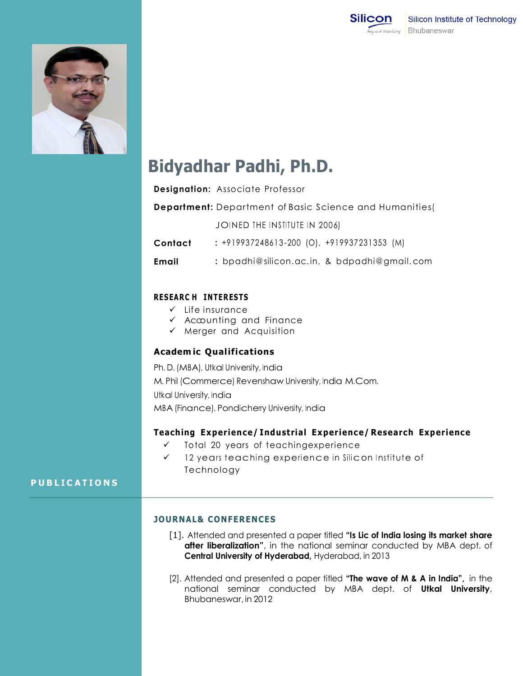



# **Bidyadhar Padhi, Ph.D.**

| Designation: Associate Professor |  |  |
|----------------------------------|--|--|
|----------------------------------|--|--|

**Department:** Department of Basic Science and Humanities(

JOINED THE INSTITUTE IN 2006)

**Contact :** +919937248613 -200 (O), +919937231353 (M)

**Email :** bpadhi@silicon.ac. in, & bdpadhi@gmail. com

## **RES EAR C H INTER ES TS**

- $\checkmark$  Life insurance
- $\checkmark$  Accunting and Finance
- $\checkmark$  Merger and Acquisition

### **Academ ic Qualifications**

Ph. D. (MBA), Utkal University, India M. Phil (Commerce) Revenshaw University, India M.Com. Utkal University, India

MBA (Finance), Pondicherry University, India

### **Teaching Experience/ Industrial Experience/ Research Experience**

- $\checkmark$  Total 20 years of teachingexperience
- $\checkmark$  12 years teaching experience in Silicon Institute of Technology

### **P U B L I C A T I O N S**

### **JOURNAL& CONFERENCES**

- [1]. Attended and presented a paper titled **"Is Lic of India losing its market share after liberalization"**, in the national seminar conducted by MBA dept. of **Central University of Hyderabad,** Hyderabad, in 2013
- [2]. Attended and presented a paper titled **"The wave of M & A in India",** in the national seminar conducted by MBA dept. of **Utkal University**, Bhubaneswar, in 2012